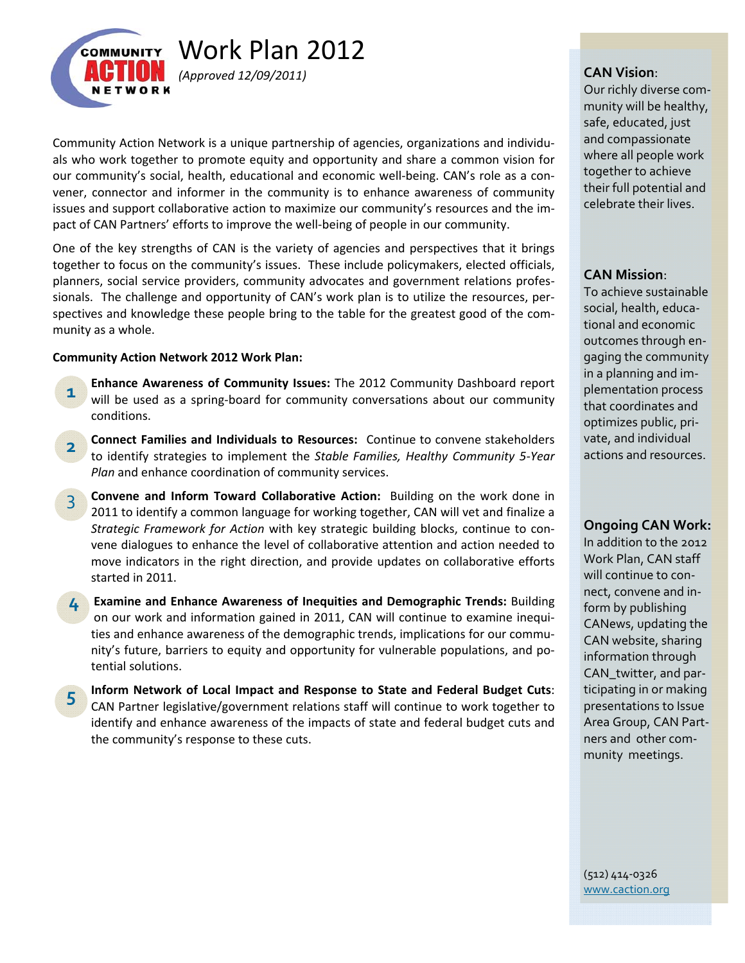

Community Action Network is a unique partnership of agencies, organizations and individu‐ als who work together to promote equity and opportunity and share a common vision for our community's social, health, educational and economic well‐being. CAN's role as a con‐ vener, connector and informer in the community is to enhance awareness of community issues and support collaborative action to maximize our community's resources and the im‐ pact of CAN Partners' efforts to improve the well‐being of people in our community.

One of the key strengths of CAN is the variety of agencies and perspectives that it brings together to focus on the community's issues. These include policymakers, elected officials, planners, social service providers, community advocates and government relations profes‐ sionals. The challenge and opportunity of CAN's work plan is to utilize the resources, per‐ spectives and knowledge these people bring to the table for the greatest good of the community as a whole.

## **Community Action Network 2012 Work Plan:**

- **Enhance Awareness of Community Issues:** The 2012 Community Dashboard report will be used as a spring-board for community conversations about our community conditions. **1**
- **Connect Families and Individuals to Resources:** Continue to convene stakeholders to identify strategies to implement the *Stable Families, Healthy Community 5‐Year Plan* and enhance coordination of community services. **2**
- **Convene and Inform Toward Collaborative Action:** Building on the work done in 2011 to identify a common language for working together, CAN will vet and finalize a *Strategic Framework for Action* with key strategic building blocks, continue to con‐ vene dialogues to enhance the level of collaborative attention and action needed to move indicators in the right direction, and provide updates on collaborative efforts started in 2011. 3
- **Examine and Enhance Awareness of Inequities and Demographic Trends:** Building **4** on our work and information gained in 2011, CAN will continue to examine inequities and enhance awareness of the demographic trends, implications for our community's future, barriers to equity and opportunity for vulnerable populations, and po‐ tential solutions.
- **Inform Network of Local Impact and Response to State and Federal Budget Cuts**: CAN Partner legislative/government relations staff will continue to work together to identify and enhance awareness of the impacts of state and federal budget cuts and the community's response to these cuts. **5**

Our richly diverse com‐ munity will be healthy, safe, educated, just and compassionate where all people work together to achieve their full potential and celebrate their lives.

# **CAN Mission**:

To achieve sustainable social, health, educa‐ tional and economic outcomes through en‐ gaging the community in a planning and im‐ plementation process that coordinates and optimizes public, pri‐ vate, and individual actions and resources.

## **Ongoing CAN Work:**

In addition to the 2012 Work Plan, CAN staff will continue to con‐ nect, convene and in‐ form by publishing CANews, updating the CAN website, sharing information through CAN\_twitter, and par‐ ticipating in or making presentations to Issue Area Group, CAN Part‐ ners and other com‐ munity meetings.

(512) 414‐0326 www.caction.org